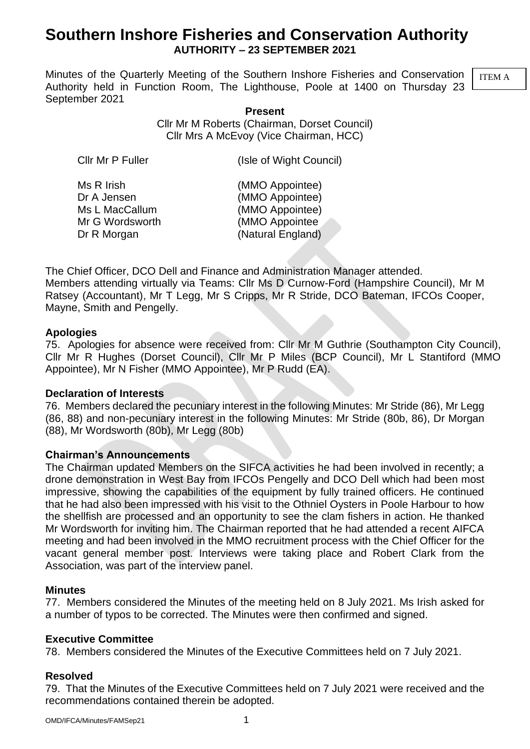Minutes of the Quarterly Meeting of the Southern Inshore Fisheries and Conservation Authority held in Function Room, The Lighthouse, Poole at 1400 on Thursday 23 September 2021

ITEM A

**Present** Cllr Mr M Roberts (Chairman, Dorset Council) Cllr Mrs A McEvoy (Vice Chairman, HCC)

Cllr Mr P Fuller (Isle of Wight Council)

| Ms R Irish      |
|-----------------|
| Dr A Jensen     |
| Ms L MacCallum  |
| Mr G Wordsworth |
| Dr R Morgan     |

(MMO Appointee) (MMO Appointee) (MMO Appointee) (MMO Appointee) (Natural England)

The Chief Officer, DCO Dell and Finance and Administration Manager attended. Members attending virtually via Teams: Cllr Ms D Curnow-Ford (Hampshire Council), Mr M Ratsey (Accountant), Mr T Legg, Mr S Cripps, Mr R Stride, DCO Bateman, IFCOs Cooper, Mayne, Smith and Pengelly.

## **Apologies**

75. Apologies for absence were received from: Cllr Mr M Guthrie (Southampton City Council), Cllr Mr R Hughes (Dorset Council), Cllr Mr P Miles (BCP Council), Mr L Stantiford (MMO Appointee), Mr N Fisher (MMO Appointee), Mr P Rudd (EA).

## **Declaration of Interests**

76. Members declared the pecuniary interest in the following Minutes: Mr Stride (86), Mr Legg (86, 88) and non-pecuniary interest in the following Minutes: Mr Stride (80b, 86), Dr Morgan (88), Mr Wordsworth (80b), Mr Legg (80b)

# **Chairman's Announcements**

The Chairman updated Members on the SIFCA activities he had been involved in recently; a drone demonstration in West Bay from IFCOs Pengelly and DCO Dell which had been most impressive, showing the capabilities of the equipment by fully trained officers. He continued that he had also been impressed with his visit to the Othniel Oysters in Poole Harbour to how the shellfish are processed and an opportunity to see the clam fishers in action. He thanked Mr Wordsworth for inviting him. The Chairman reported that he had attended a recent AIFCA meeting and had been involved in the MMO recruitment process with the Chief Officer for the vacant general member post. Interviews were taking place and Robert Clark from the Association, was part of the interview panel.

# **Minutes**

77. Members considered the Minutes of the meeting held on 8 July 2021. Ms Irish asked for a number of typos to be corrected. The Minutes were then confirmed and signed.

# **Executive Committee**

78. Members considered the Minutes of the Executive Committees held on 7 July 2021.

# **Resolved**

79. That the Minutes of the Executive Committees held on 7 July 2021 were received and the recommendations contained therein be adopted.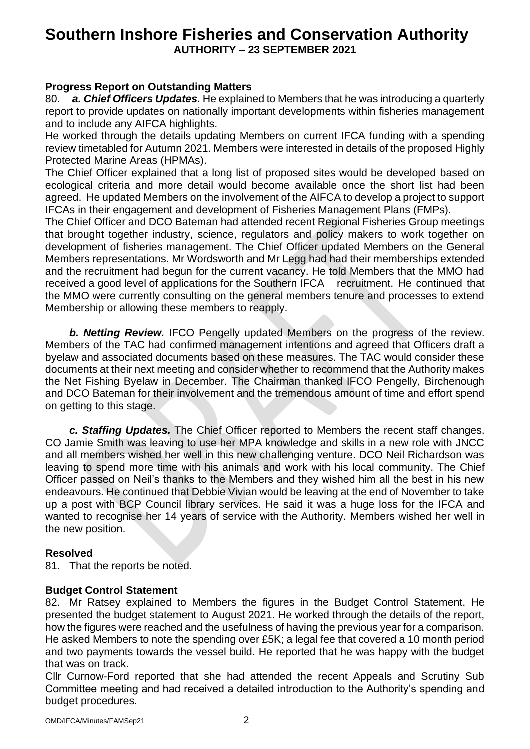## **Progress Report on Outstanding Matters**

80. *a. Chief Officers Updates.* He explained to Members that he was introducing a quarterly report to provide updates on nationally important developments within fisheries management and to include any AIFCA highlights.

He worked through the details updating Members on current IFCA funding with a spending review timetabled for Autumn 2021. Members were interested in details of the proposed Highly Protected Marine Areas (HPMAs).

The Chief Officer explained that a long list of proposed sites would be developed based on ecological criteria and more detail would become available once the short list had been agreed. He updated Members on the involvement of the AIFCA to develop a project to support IFCAs in their engagement and development of Fisheries Management Plans (FMPs).

The Chief Officer and DCO Bateman had attended recent Regional Fisheries Group meetings that brought together industry, science, regulators and policy makers to work together on development of fisheries management. The Chief Officer updated Members on the General Members representations. Mr Wordsworth and Mr Legg had had their memberships extended and the recruitment had begun for the current vacancy. He told Members that the MMO had received a good level of applications for the Southern IFCA recruitment. He continued that the MMO were currently consulting on the general members tenure and processes to extend Membership or allowing these members to reapply.

*b. Netting Review.* IFCO Pengelly updated Members on the progress of the review. Members of the TAC had confirmed management intentions and agreed that Officers draft a byelaw and associated documents based on these measures. The TAC would consider these documents at their next meeting and consider whether to recommend that the Authority makes the Net Fishing Byelaw in December. The Chairman thanked IFCO Pengelly, Birchenough and DCO Bateman for their involvement and the tremendous amount of time and effort spend on getting to this stage.

*c. Staffing Updates.* The Chief Officer reported to Members the recent staff changes. CO Jamie Smith was leaving to use her MPA knowledge and skills in a new role with JNCC and all members wished her well in this new challenging venture. DCO Neil Richardson was leaving to spend more time with his animals and work with his local community. The Chief Officer passed on Neil's thanks to the Members and they wished him all the best in his new endeavours. He continued that Debbie Vivian would be leaving at the end of November to take up a post with BCP Council library services. He said it was a huge loss for the IFCA and wanted to recognise her 14 years of service with the Authority. Members wished her well in the new position.

## **Resolved**

81. That the reports be noted.

#### **Budget Control Statement**

82. Mr Ratsey explained to Members the figures in the Budget Control Statement. He presented the budget statement to August 2021. He worked through the details of the report, how the figures were reached and the usefulness of having the previous year for a comparison. He asked Members to note the spending over £5K; a legal fee that covered a 10 month period and two payments towards the vessel build. He reported that he was happy with the budget that was on track.

Cllr Curnow-Ford reported that she had attended the recent Appeals and Scrutiny Sub Committee meeting and had received a detailed introduction to the Authority's spending and budget procedures.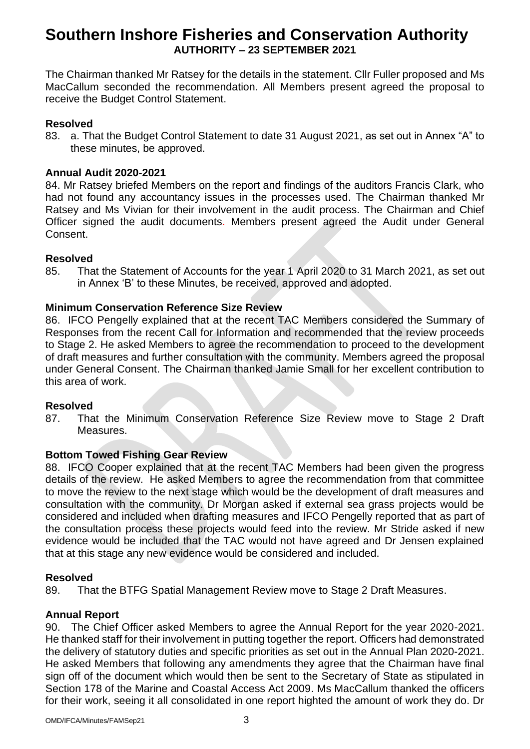The Chairman thanked Mr Ratsey for the details in the statement. Cllr Fuller proposed and Ms MacCallum seconded the recommendation. All Members present agreed the proposal to receive the Budget Control Statement.

## **Resolved**

83. a. That the Budget Control Statement to date 31 August 2021, as set out in Annex "A" to these minutes, be approved.

## **Annual Audit 2020-2021**

84. Mr Ratsey briefed Members on the report and findings of the auditors Francis Clark, who had not found any accountancy issues in the processes used. The Chairman thanked Mr Ratsey and Ms Vivian for their involvement in the audit process. The Chairman and Chief Officer signed the audit documents. Members present agreed the Audit under General Consent.

# **Resolved**

85. That the Statement of Accounts for the year 1 April 2020 to 31 March 2021, as set out in Annex 'B' to these Minutes, be received, approved and adopted.

## **Minimum Conservation Reference Size Review**

86. IFCO Pengelly explained that at the recent TAC Members considered the Summary of Responses from the recent Call for Information and recommended that the review proceeds to Stage 2. He asked Members to agree the recommendation to proceed to the development of draft measures and further consultation with the community. Members agreed the proposal under General Consent. The Chairman thanked Jamie Small for her excellent contribution to this area of work.

## **Resolved**

87. That the Minimum Conservation Reference Size Review move to Stage 2 Draft Measures.

## **Bottom Towed Fishing Gear Review**

88. IFCO Cooper explained that at the recent TAC Members had been given the progress details of the review. He asked Members to agree the recommendation from that committee to move the review to the next stage which would be the development of draft measures and consultation with the community. Dr Morgan asked if external sea grass projects would be considered and included when drafting measures and IFCO Pengelly reported that as part of the consultation process these projects would feed into the review. Mr Stride asked if new evidence would be included that the TAC would not have agreed and Dr Jensen explained that at this stage any new evidence would be considered and included.

## **Resolved**

89. That the BTFG Spatial Management Review move to Stage 2 Draft Measures.

# **Annual Report**

90. The Chief Officer asked Members to agree the Annual Report for the year 2020-2021. He thanked staff for their involvement in putting together the report. Officers had demonstrated the delivery of statutory duties and specific priorities as set out in the Annual Plan 2020-2021. He asked Members that following any amendments they agree that the Chairman have final sign off of the document which would then be sent to the Secretary of State as stipulated in Section 178 of the Marine and Coastal Access Act 2009. Ms MacCallum thanked the officers for their work, seeing it all consolidated in one report highted the amount of work they do. Dr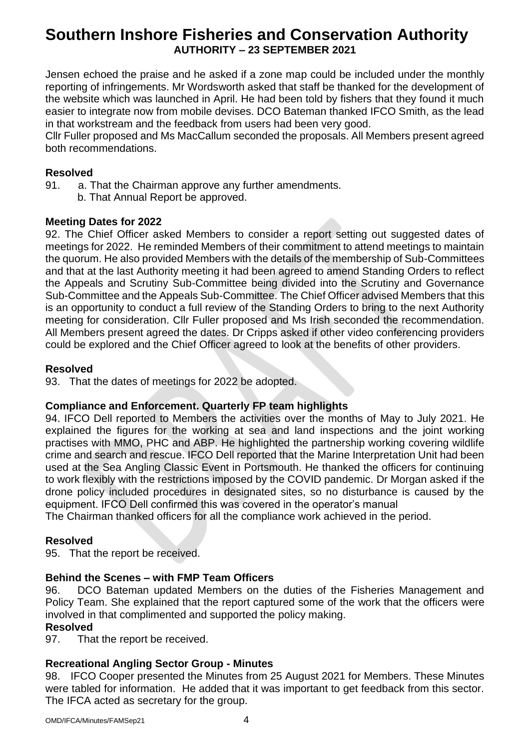Jensen echoed the praise and he asked if a zone map could be included under the monthly reporting of infringements. Mr Wordsworth asked that staff be thanked for the development of the website which was launched in April. He had been told by fishers that they found it much easier to integrate now from mobile devises. DCO Bateman thanked IFCO Smith, as the lead in that workstream and the feedback from users had been very good.

Cllr Fuller proposed and Ms MacCallum seconded the proposals. All Members present agreed both recommendations.

## **Resolved**

- 91. a. That the Chairman approve any further amendments.
	- b. That Annual Report be approved.

## **Meeting Dates for 2022**

92. The Chief Officer asked Members to consider a report setting out suggested dates of meetings for 2022. He reminded Members of their commitment to attend meetings to maintain the quorum. He also provided Members with the details of the membership of Sub-Committees and that at the last Authority meeting it had been agreed to amend Standing Orders to reflect the Appeals and Scrutiny Sub-Committee being divided into the Scrutiny and Governance Sub-Committee and the Appeals Sub-Committee. The Chief Officer advised Members that this is an opportunity to conduct a full review of the Standing Orders to bring to the next Authority meeting for consideration. Cllr Fuller proposed and Ms Irish seconded the recommendation. All Members present agreed the dates. Dr Cripps asked if other video conferencing providers could be explored and the Chief Officer agreed to look at the benefits of other providers.

# **Resolved**

93. That the dates of meetings for 2022 be adopted.

# **Compliance and Enforcement. Quarterly FP team highlights**

94. IFCO Dell reported to Members the activities over the months of May to July 2021. He explained the figures for the working at sea and land inspections and the joint working practises with MMO, PHC and ABP. He highlighted the partnership working covering wildlife crime and search and rescue. IFCO Dell reported that the Marine Interpretation Unit had been used at the Sea Angling Classic Event in Portsmouth. He thanked the officers for continuing to work flexibly with the restrictions imposed by the COVID pandemic. Dr Morgan asked if the drone policy included procedures in designated sites, so no disturbance is caused by the equipment. IFCO Dell confirmed this was covered in the operator's manual

The Chairman thanked officers for all the compliance work achieved in the period.

# **Resolved**

95. That the report be received.

# **Behind the Scenes – with FMP Team Officers**

96. DCO Bateman updated Members on the duties of the Fisheries Management and Policy Team. She explained that the report captured some of the work that the officers were involved in that complimented and supported the policy making.

## **Resolved**

97. That the report be received.

# **Recreational Angling Sector Group - Minutes**

98. IFCO Cooper presented the Minutes from 25 August 2021 for Members. These Minutes were tabled for information. He added that it was important to get feedback from this sector. The IFCA acted as secretary for the group.